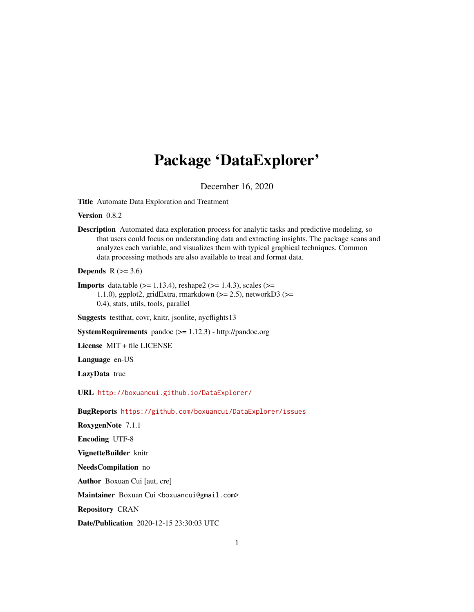# Package 'DataExplorer'

December 16, 2020

<span id="page-0-0"></span>Title Automate Data Exploration and Treatment

Version 0.8.2

Description Automated data exploration process for analytic tasks and predictive modeling, so that users could focus on understanding data and extracting insights. The package scans and analyzes each variable, and visualizes them with typical graphical techniques. Common data processing methods are also available to treat and format data.

Depends  $R$  ( $>= 3.6$ )

**Imports** data.table ( $>= 1.13.4$ ), reshape2 ( $>= 1.4.3$ ), scales ( $>=$ 1.1.0), ggplot2, gridExtra, rmarkdown  $(>= 2.5)$ , networkD3  $(>= 1.1.0)$ 0.4), stats, utils, tools, parallel

Suggests testthat, covr, knitr, jsonlite, nycflights13

SystemRequirements pandoc (>= 1.12.3) - http://pandoc.org

License MIT + file LICENSE

Language en-US

LazyData true

URL <http://boxuancui.github.io/DataExplorer/>

BugReports <https://github.com/boxuancui/DataExplorer/issues>

RoxygenNote 7.1.1

Encoding UTF-8

VignetteBuilder knitr

NeedsCompilation no

Author Boxuan Cui [aut, cre]

Maintainer Boxuan Cui <boxuancui@gmail.com>

Repository CRAN

Date/Publication 2020-12-15 23:30:03 UTC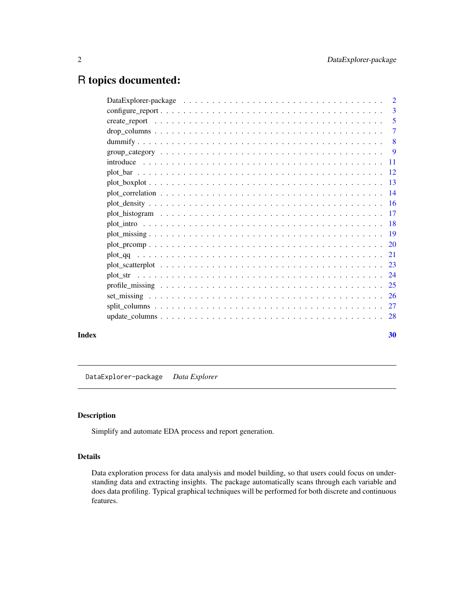# <span id="page-1-0"></span>R topics documented:

| $\text{configure\_report} \dots \dots \dots \dots \dots \dots \dots \dots \dots \dots \dots \dots \dots \dots \dots \dots$ |  |  |    |
|----------------------------------------------------------------------------------------------------------------------------|--|--|----|
|                                                                                                                            |  |  |    |
|                                                                                                                            |  |  |    |
|                                                                                                                            |  |  |    |
|                                                                                                                            |  |  |    |
|                                                                                                                            |  |  |    |
|                                                                                                                            |  |  |    |
|                                                                                                                            |  |  |    |
|                                                                                                                            |  |  |    |
|                                                                                                                            |  |  |    |
|                                                                                                                            |  |  |    |
|                                                                                                                            |  |  |    |
|                                                                                                                            |  |  |    |
|                                                                                                                            |  |  |    |
|                                                                                                                            |  |  |    |
|                                                                                                                            |  |  |    |
|                                                                                                                            |  |  |    |
|                                                                                                                            |  |  |    |
|                                                                                                                            |  |  |    |
|                                                                                                                            |  |  |    |
| $update\_columns \ldots \ldots \ldots \ldots \ldots \ldots \ldots \ldots \ldots \ldots \ldots \ldots 28$                   |  |  |    |
|                                                                                                                            |  |  | 30 |
|                                                                                                                            |  |  |    |

DataExplorer-package *Data Explorer*

# Description

Simplify and automate EDA process and report generation.

# Details

Data exploration process for data analysis and model building, so that users could focus on understanding data and extracting insights. The package automatically scans through each variable and does data profiling. Typical graphical techniques will be performed for both discrete and continuous features.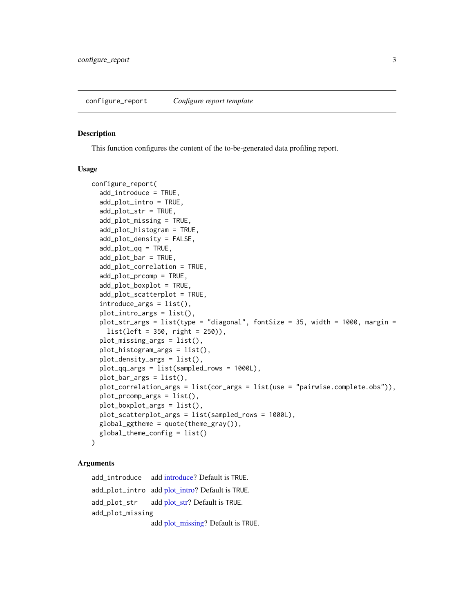#### <span id="page-2-1"></span><span id="page-2-0"></span>Description

This function configures the content of the to-be-generated data profiling report.

#### Usage

```
configure_report(
  add_introduce = TRUE,
  add_plot_intro = TRUE,
  add_plot_str = TRUE,
  add_plot_missing = TRUE,
  add_plot_histogram = TRUE,
  add_plot_density = FALSE,
  add\_plot\_qq = TRUE,add_plot_bar = TRUE,
  add_plot_correlation = TRUE,
  add_plot_prcomp = TRUE,
  add_plot_boxplot = TRUE,
  add_plot_scatterplot = TRUE,
  introduce_{args} = list(),
  plot_intro_args = list(),
 plot_str_args = list(type = "diagonal", fontSize = 35, width = 1000, margin =
    list(left = 350, right = 250)),
  plot_missing_args = list(),
 plot_histogram_args = list(),
  plot_density_args = list(),
  plot_qq_args = list(sampled_rows = 1000L),
 plot_bar_args = list(),
  plot_correlation_args = list(cor_args = list(use = "pairwise.complete.obs")),
  plot_prcomp_args = list(),
  plot_boxplot_args = list(),
 plot_scatterplot_args = list(sampled_rows = 1000L),
  global_ggtheme = quote(theme_gray()),
  global_theme_config = list()
)
```
#### Arguments

add\_introduce add [introduce?](#page-10-1) Default is TRUE. add\_plot\_intro add [plot\\_intro?](#page-17-1) Default is TRUE. add\_plot\_str add [plot\\_str?](#page-23-1) Default is TRUE. add\_plot\_missing add [plot\\_missing?](#page-18-1) Default is TRUE.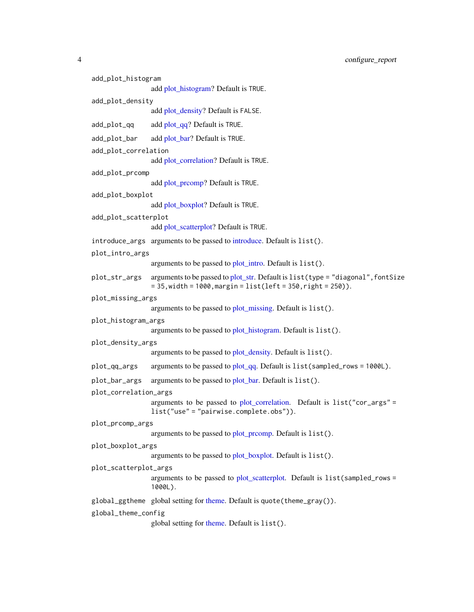<span id="page-3-0"></span>4 configure\_report

```
add_plot_histogram
                add plot_histogram? Default is TRUE.
add_plot_density
                add plot_density? Default is FALSE.
add\_plot\_qq add plot\_qq? Default is TRUE.
add_plot_bar add plot bar? Default is TRUE.
add_plot_correlation
                add plot_correlation? Default is TRUE.
add_plot_prcomp
                add plot_prcomp? Default is TRUE.
add_plot_boxplot
                add plot boxplot? Default is TRUE.
add_plot_scatterplot
                add plot_scatterplot? Default is TRUE.
introduce_args arguments to be passed to introduce. Default is list().
plot_intro_args
                arguments to be passed to plot_intro. Default is list().
plot_str. Default is list(type = "diagonal", font Size
                = 35, width = 1000, margin = list(left = 350, right = 250)).
plot_missing_args
                arguments to be passed to plot_missing. Default is list().
plot_histogram_args
                arguments to be passed to plot_histogram. Default is list().
plot_density_args
                arguments to be passed to plot_density. Default is list().
plot_qq_args arguments to be passed to plot_qq. Default is list(sampled_rows = 1000L).
plot_bar. Default is list().
plot_correlation_args
                arguments to be passed to plot_correlation. Default is list("cor_args" =
                list("use" = "pairwise.complete.obs")).
plot_prcomp_args
                arguments to be passed to plot_prcomp. Default is list().
plot_boxplot_args
                arguments to be passed to plot_boxplot. Default is list().
plot_scatterplot_args
                arguments to be passed to plot_scatterplot. Default is list(sampled_rows =
                1000L).
theme. Default is quote(theme_gray()).
global_theme_config
                global setting for theme. Default is list().
```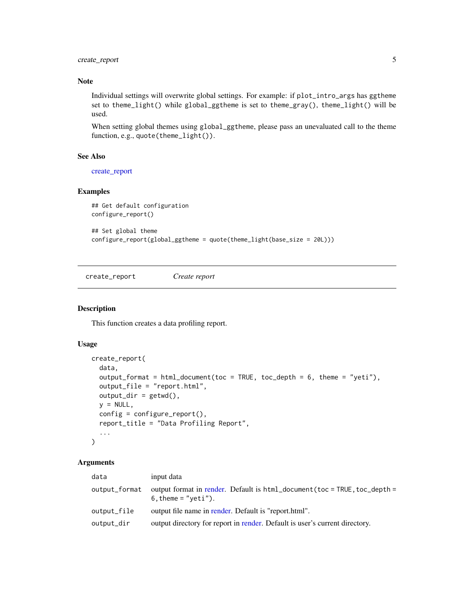<span id="page-4-0"></span>create\_report 5

#### Note

Individual settings will overwrite global settings. For example: if plot\_intro\_args has ggtheme set to theme\_light() while global\_ggtheme is set to theme\_gray(), theme\_light() will be used.

When setting global themes using global\_ggtheme, please pass an unevaluated call to the theme function, e.g., quote(theme\_light()).

#### See Also

[create\\_report](#page-4-1)

#### Examples

```
## Get default configuration
configure_report()
```

```
## Set global theme
configure_report(global_ggtheme = quote(theme_light(base_size = 20L)))
```
<span id="page-4-1"></span>create\_report *Create report*

#### Description

This function creates a data profiling report.

# Usage

```
create_report(
  data,
  output_format = html_document(toc = TRUE, toc_depth = 6, theme = "yeti"),
  output_file = "report.html",
  output\_dir = getwd(),
 y = NULL,config = configure_report(),
  report_title = "Data Profiling Report",
  ...
\mathcal{L}
```

| data          | input data                                                                                           |
|---------------|------------------------------------------------------------------------------------------------------|
| output_format | output format in render. Default is $html_document(toc = TRUE, toc_depth =$<br>$6.$ theme = "yeti"). |
| output_file   | output file name in render. Default is "report.html".                                                |
| output_dir    | output directory for report in render. Default is user's current directory.                          |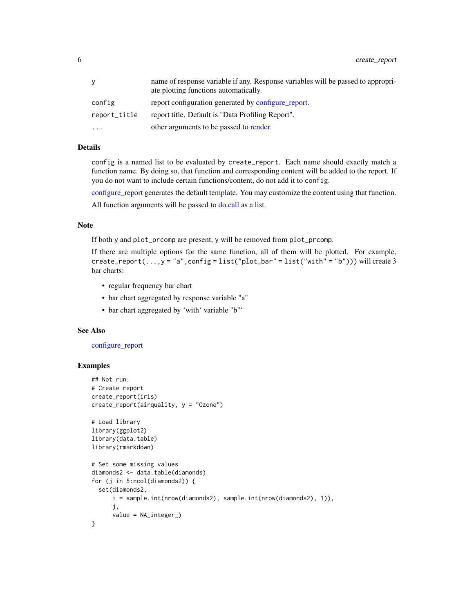<span id="page-5-0"></span>

|              | name of response variable if any. Response variables will be passed to appropri-<br>ate plotting functions automatically. |
|--------------|---------------------------------------------------------------------------------------------------------------------------|
| config       | report configuration generated by configure_report.                                                                       |
| report_title | report title. Default is "Data Profiling Report".                                                                         |
| $\ddotsc$    | other arguments to be passed to render.                                                                                   |

#### Details

config is a named list to be evaluated by create\_report. Each name should exactly match a function name. By doing so, that function and corresponding content will be added to the report. If you do not want to include certain functions/content, do not add it to config.

[configure\\_report](#page-2-1) generates the default template. You may customize the content using that function.

All function arguments will be passed to [do.call](#page-0-0) as a list.

# Note

If both y and plot\_prcomp are present, y will be removed from plot\_prcomp.

If there are multiple options for the same function, all of them will be plotted. For example, create\_report(...,y = "a", config = list("plot\_bar" = list("with" = "b"))) will create 3 bar charts:

- regular frequency bar chart
- bar chart aggregated by response variable "a"
- bar chart aggregated by 'with' variable "b"'

## See Also

#### [configure\\_report](#page-2-1)

# Examples

```
## Not run:
# Create report
create_report(iris)
create_report(airquality, y = "Ozone")
# Load library
library(ggplot2)
library(data.table)
library(rmarkdown)
# Set some missing values
diamonds2 <- data.table(diamonds)
for (j in 5:ncol(diamonds2)) {
  set(diamonds2,
      i = sample.int(nrow(diamonds2), sample.int(nrow(diamonds2), 1)),
      j,
      value = NA_integer_)
}
```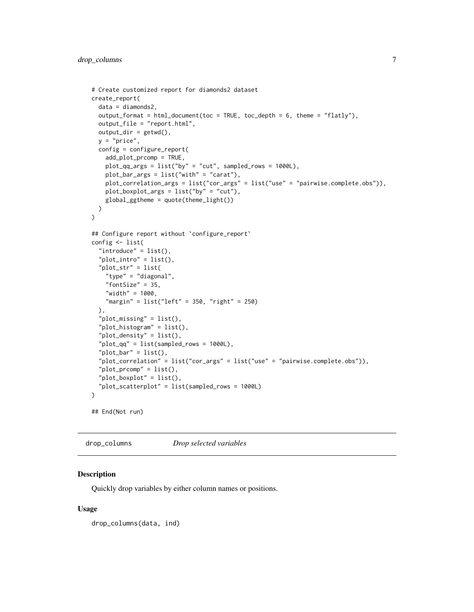```
# Create customized report for diamonds2 dataset
create_report(
  data = diamonds2,
  output_format = html_document(toc = TRUE, toc_depth = 6, theme = "flatly"),
  output_file = "report.html",
  output\_dir = getwd(),
  y = "price",config = configure_report(
    add_plot_prcomp = TRUE,
   plot_qq_args = list("by" = "cut", sampled_rows = 1000L),
   plot_bar_args = list("with" = "carat"),
   plot_correlation_args = list("cor_args" = list("use" = "pairwise.complete.obs")),
   plot_boxplot_args = list("by" = "cut"),
   global_ggtheme = quote(theme_light())
  )
\mathcal{L}## Configure report without `configure_report`
config <- list(
  "introduce" = list(),
  "plot\_intro" = list(),"plot_str" = list(
    "type" = "diagonal",
    "fontSize" = 35,
    "width" = 1000,
    "margin" = list("left" = 350, "right" = 250)
  ),
  "plot_missing" = list(),
  "plot_histogram" = list(),
  "plot_density" = list(),
  "plot_qq" = list(sampled_rows = 1000L),
  "plot\_bar" = list(),
  "plot_correlation" = list("cor_args" = list("use" = "pairwise.complete.obs")),
  "plot\_prcomp" = list(),"plot_boxplot" = list(),
  "plot_scatterplot" = list(sampled_rows = 1000L)
\mathcal{L}## End(Not run)
```
drop\_columns *Drop selected variables*

#### Description

Quickly drop variables by either column names or positions.

#### Usage

drop\_columns(data, ind)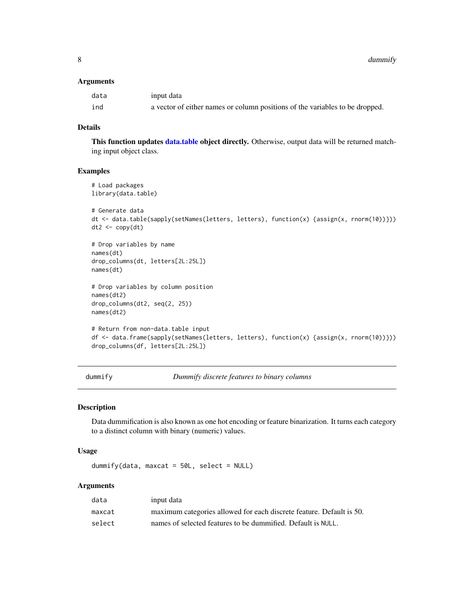<span id="page-7-0"></span>8 dummify and the contract of the contract of the contract of the contract of the contract of the contract of the contract of the contract of the contract of the contract of the contract of the contract of the contract of

#### Arguments

| data | input data                                                                   |
|------|------------------------------------------------------------------------------|
| ind  | a vector of either names or column positions of the variables to be dropped. |

# Details

This function updates [data.table](#page-0-0) object directly. Otherwise, output data will be returned matching input object class.

### Examples

```
# Load packages
library(data.table)
# Generate data
dt <- data.table(sapply(setNames(letters, letters), function(x) {assign(x, rnorm(10))}))
dt2 < -\text{copy}(dt)# Drop variables by name
names(dt)
drop_columns(dt, letters[2L:25L])
names(dt)
# Drop variables by column position
names(dt2)
drop_columns(dt2, seq(2, 25))
names(dt2)
# Return from non-data.table input
df <- data.frame(sapply(setNames(letters, letters), function(x) {assign(x, rnorm(10))}))
drop_columns(df, letters[2L:25L])
```
<span id="page-7-1"></span>dummify *Dummify discrete features to binary columns*

## Description

Data dummification is also known as one hot encoding or feature binarization. It turns each category to a distinct column with binary (numeric) values.

#### Usage

dummify(data, maxcat =  $50L$ , select = NULL)

| data   | input data                                                           |
|--------|----------------------------------------------------------------------|
| maxcat | maximum categories allowed for each discrete feature. Default is 50. |
| select | names of selected features to be dummified. Default is NULL.         |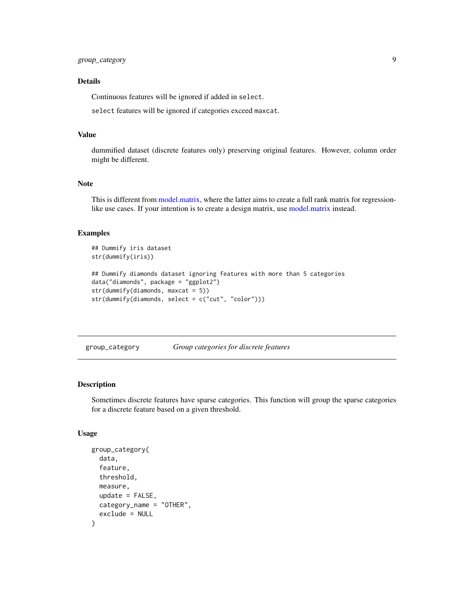# <span id="page-8-0"></span>Details

Continuous features will be ignored if added in select.

select features will be ignored if categories exceed maxcat.

#### Value

dummified dataset (discrete features only) preserving original features. However, column order might be different.

# Note

This is different from [model.matrix,](#page-0-0) where the latter aims to create a full rank matrix for regressionlike use cases. If your intention is to create a design matrix, use [model.matrix](#page-0-0) instead.

#### Examples

```
## Dummify iris dataset
str(dummify(iris))
## Dummify diamonds dataset ignoring features with more than 5 categories
data("diamonds", package = "ggplot2")
str(dummify(diamonds, maxcat = 5))
str(dummify(diamonds, select = c("cut", "color")))
```
group\_category *Group categories for discrete features*

#### Description

Sometimes discrete features have sparse categories. This function will group the sparse categories for a discrete feature based on a given threshold.

#### Usage

```
group_category(
  data,
  feature,
  threshold,
  measure,
  update = FALSE,category_name = "OTHER",
  exclude = NULL
)
```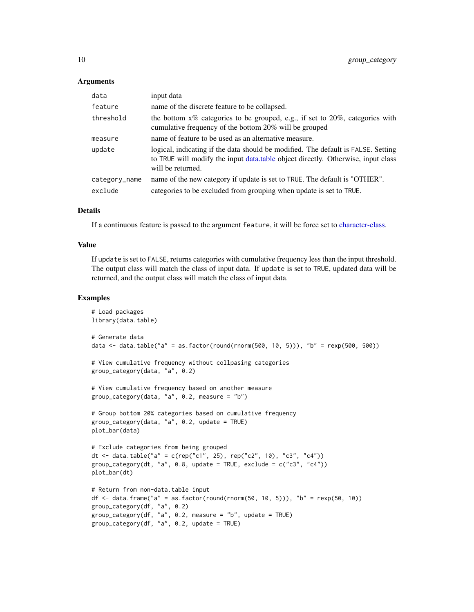#### <span id="page-9-0"></span>Arguments

| data          | input data                                                                                                                                                                                 |
|---------------|--------------------------------------------------------------------------------------------------------------------------------------------------------------------------------------------|
| feature       | name of the discrete feature to be collapsed.                                                                                                                                              |
| threshold     | the bottom $x\%$ categories to be grouped, e.g., if set to 20%, categories with<br>cumulative frequency of the bottom 20% will be grouped                                                  |
| measure       | name of feature to be used as an alternative measure.                                                                                                                                      |
| update        | logical, indicating if the data should be modified. The default is FALSE. Setting<br>to TRUE will modify the input data.table object directly. Otherwise, input class<br>will be returned. |
| category_name | name of the new category if update is set to TRUE. The default is "OTHER".                                                                                                                 |
| exclude       | categories to be excluded from grouping when update is set to TRUE.                                                                                                                        |

#### Details

If a continuous feature is passed to the argument feature, it will be force set to [character-class.](#page-0-0)

#### Value

If update is set to FALSE, returns categories with cumulative frequency less than the input threshold. The output class will match the class of input data. If update is set to TRUE, updated data will be returned, and the output class will match the class of input data.

#### Examples

```
# Load packages
library(data.table)
# Generate data
data <- data.table("a" = as.factor(round(rnorm(500, 10, 5))), "b" = resp(500, 500)# View cumulative frequency without collpasing categories
group_category(data, "a", 0.2)
# View cumulative frequency based on another measure
group_category(data, "a", 0.2, measure = "b")
# Group bottom 20% categories based on cumulative frequency
group_category(data, "a", 0.2, update = TRUE)
plot_bar(data)
# Exclude categories from being grouped
dt <- data.table("a" = c(rep("c1", 25), rep("c2", 10), "c3", "c4"))
group_category(dt, "a", 0.8, update = TRUE, exclude = c("c3", "c4"))plot_bar(dt)
# Return from non-data.table input
df <- data.frame("a" = as.factor(round(rnorm(50, 10, 5))), "b" = r \exp(50, 10)group_category(df, "a", 0.2)
group_category(df, "a", 0.2, measure = "b", update = TRUE)
group_category(df, "a", 0.2, update = TRUE)
```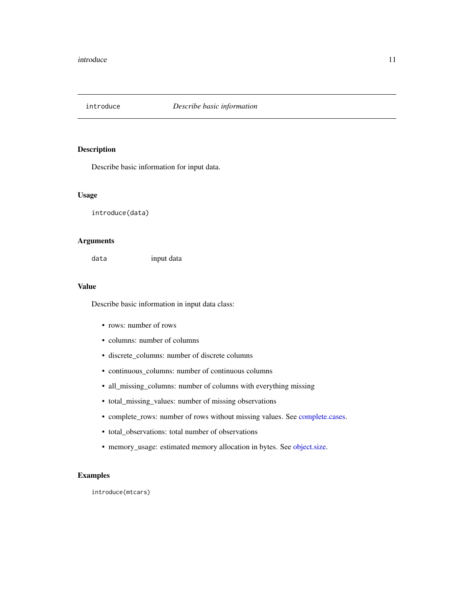<span id="page-10-1"></span><span id="page-10-0"></span>

# Description

Describe basic information for input data.

#### Usage

introduce(data)

#### Arguments

data input data

#### Value

Describe basic information in input data class:

- rows: number of rows
- columns: number of columns
- discrete\_columns: number of discrete columns
- continuous\_columns: number of continuous columns
- all\_missing\_columns: number of columns with everything missing
- total\_missing\_values: number of missing observations
- complete\_rows: number of rows without missing values. See [complete.cases.](#page-0-0)
- total\_observations: total number of observations
- memory\_usage: estimated memory allocation in bytes. See [object.size.](#page-0-0)

# Examples

introduce(mtcars)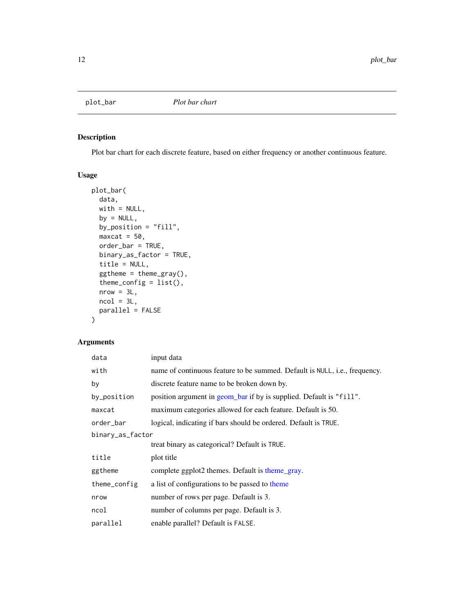<span id="page-11-1"></span><span id="page-11-0"></span>

# Description

Plot bar chart for each discrete feature, based on either frequency or another continuous feature.

#### Usage

```
plot_bar(
 data,
 with = NULL,by = NULL,
 by_position = "fill",
 maxcat = 50,
 order_bar = TRUE,
 binary_as_factor = TRUE,
 title = NULL,
  ggtheme = theme_gray(),
  theme_config = list(),
 nrow = 3L,ncol = 3L,
 parallel = FALSE
)
```

| data             | input data                                                                 |
|------------------|----------------------------------------------------------------------------|
| with             | name of continuous feature to be summed. Default is NULL, i.e., frequency. |
| by               | discrete feature name to be broken down by.                                |
| by_position      | position argument in geom_bar if by is supplied. Default is "fill".        |
| maxcat           | maximum categories allowed for each feature. Default is 50.                |
| order_bar        | logical, indicating if bars should be ordered. Default is TRUE.            |
| binary_as_factor |                                                                            |
|                  | treat binary as categorical? Default is TRUE.                              |
| title            | plot title                                                                 |
| ggtheme          | complete ggplot2 themes. Default is theme_gray.                            |
| theme_config     | a list of configurations to be passed to theme                             |
| nrow             | number of rows per page. Default is 3.                                     |
| ncol             | number of columns per page. Default is 3.                                  |
| parallel         | enable parallel? Default is FALSE.                                         |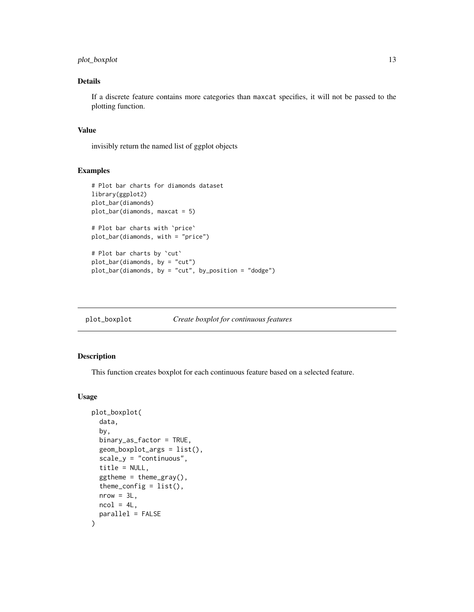# <span id="page-12-0"></span>plot\_boxplot 13

# Details

If a discrete feature contains more categories than maxcat specifies, it will not be passed to the plotting function.

#### Value

invisibly return the named list of ggplot objects

#### Examples

```
# Plot bar charts for diamonds dataset
library(ggplot2)
plot_bar(diamonds)
plot_bar(diamonds, maxcat = 5)
# Plot bar charts with `price`
plot_bar(diamonds, with = "price")
# Plot bar charts by `cut`
plot_bar(diamonds, by = "cut")
plot_bar(diamonds, by = "cut", by_position = "dodge")
```
<span id="page-12-1"></span>plot\_boxplot *Create boxplot for continuous features*

# Description

This function creates boxplot for each continuous feature based on a selected feature.

#### Usage

```
plot_boxplot(
  data,
  by,
  binary_as_factor = TRUE,
  geom_boxplot_args = list(),
  scale_y = "continuous",
  title = NULL,
  ggtheme = theme_gray(),
  theme_config = list(),
  nrow = 3L,
  ncol = 4L,
  parallel = FALSE
)
```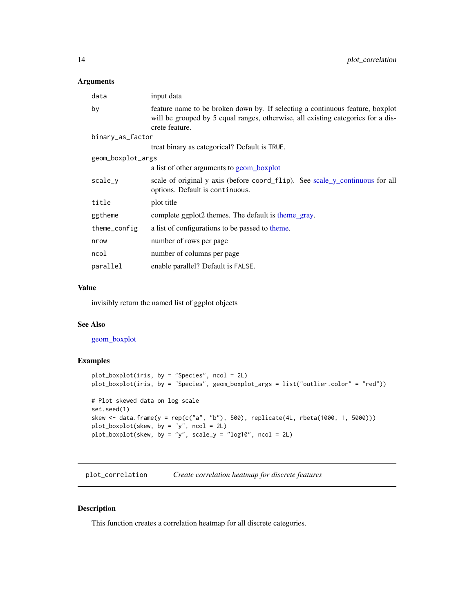#### <span id="page-13-0"></span>Arguments

| data              | input data                                                                                                                                                                          |
|-------------------|-------------------------------------------------------------------------------------------------------------------------------------------------------------------------------------|
| by                | feature name to be broken down by. If selecting a continuous feature, boxplot<br>will be grouped by 5 equal ranges, otherwise, all existing categories for a dis-<br>crete feature. |
| binary_as_factor  |                                                                                                                                                                                     |
|                   | treat binary as categorical? Default is TRUE.                                                                                                                                       |
| geom_boxplot_args |                                                                                                                                                                                     |
|                   | a list of other arguments to geom_boxplot                                                                                                                                           |
| scale_y           | scale of original y axis (before coord_flip). See scale_y_continuous for all<br>options. Default is continuous.                                                                     |
| title             | plot title                                                                                                                                                                          |
| ggtheme           | complete ggplot2 themes. The default is theme_gray.                                                                                                                                 |
| theme_config      | a list of configurations to be passed to theme.                                                                                                                                     |
| nrow              | number of rows per page                                                                                                                                                             |
| ncol              | number of columns per page                                                                                                                                                          |
| parallel          | enable parallel? Default is FALSE.                                                                                                                                                  |

#### Value

invisibly return the named list of ggplot objects

# See Also

[geom\\_boxplot](#page-0-0)

# Examples

```
plot_boxplot(iris, by = "Species", ncol = 2L)
plot_boxplot(iris, by = "Species", geom_boxplot_args = list("outlier.color" = "red"))
# Plot skewed data on log scale
set.seed(1)
skew <- data.frame(y = rep(c("a", "b"), 500), replicate(4L, rbeta(1000, 1, 5000)))
plot_boxplot(skew, by = "y", ncol = 2L)
plot_boxplot(skew, by = "y", scale_y = "log10", ncol = 2L)
```
<span id="page-13-1"></span>plot\_correlation *Create correlation heatmap for discrete features*

# Description

This function creates a correlation heatmap for all discrete categories.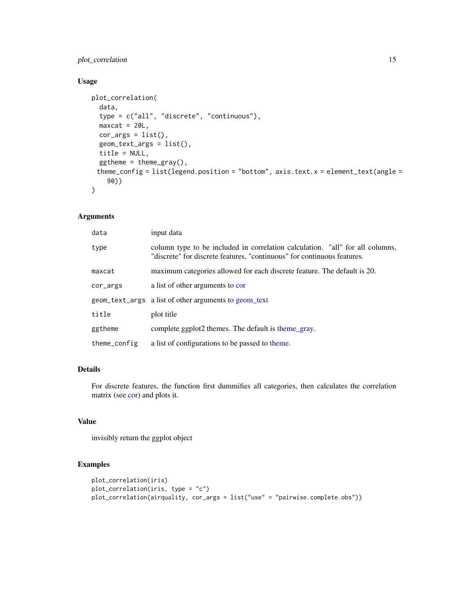# <span id="page-14-0"></span>plot\_correlation 15

# Usage

```
plot_correlation(
  data,
  type = c("all", "discrete", "continuous"),
 maxcat = 20L,cor_{args} = list(),
  geom_text_args = list(),
  title = NULL,
  ggtheme = theme_gray(),
 theme_config = list(legend.position = "bottom", axis.text.x = element_text(angle =
    90))
\mathcal{L}
```
# Arguments

| data         | input data                                                                                                                                               |
|--------------|----------------------------------------------------------------------------------------------------------------------------------------------------------|
| type         | column type to be included in correlation calculation. "all" for all columns,<br>"discrete" for discrete features, "continuous" for continuous features. |
| maxcat       | maximum categories allowed for each discrete feature. The default is 20.                                                                                 |
| cor_args     | a list of other arguments to cor                                                                                                                         |
|              | geom_text_args a list of other arguments to geom text                                                                                                    |
| title        | plot title                                                                                                                                               |
| ggtheme      | complete ggplot2 themes. The default is theme gray.                                                                                                      |
| theme_config | a list of configurations to be passed to theme.                                                                                                          |

# Details

For discrete features, the function first dummifies all categories, then calculates the correlation matrix (see [cor\)](#page-0-0) and plots it.

# Value

invisibly return the ggplot object

## Examples

```
plot_correlation(iris)
plot_correlation(iris, type = "c")
plot_correlation(airquality, cor_args = list("use" = "pairwise.complete.obs"))
```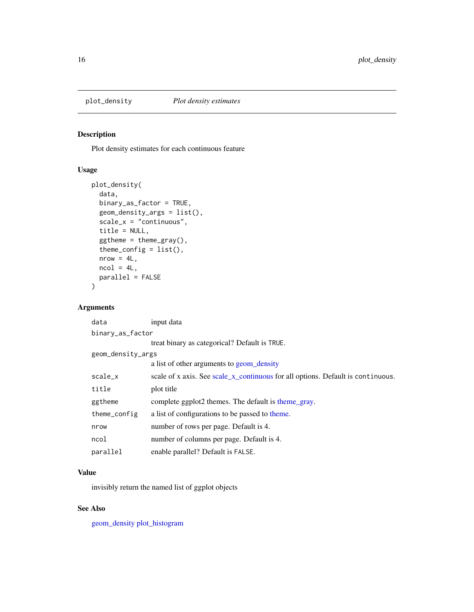<span id="page-15-1"></span><span id="page-15-0"></span>

# Description

Plot density estimates for each continuous feature

# Usage

```
plot_density(
  data,
 binary_as_factor = TRUE,
 geom_density_args = list(),
 scale_x = "continuous",
  title = NULL,
  ggtheme = theme_gray(),
  theme_config = list(),
 nrow = 4L,
 ncol = 4L,
 parallel = FALSE
)
```
#### Arguments

| data              | input data                                                                      |  |  |
|-------------------|---------------------------------------------------------------------------------|--|--|
| binary_as_factor  |                                                                                 |  |  |
|                   | treat binary as categorical? Default is TRUE.                                   |  |  |
| geom_density_args |                                                                                 |  |  |
|                   | a list of other arguments to geom_density                                       |  |  |
| scale_x           | scale of x axis. See scale_x_continuous for all options. Default is continuous. |  |  |
| title             | plot title                                                                      |  |  |
| ggtheme           | complete ggplot2 themes. The default is theme_gray.                             |  |  |
| theme_config      | a list of configurations to be passed to theme.                                 |  |  |
| nrow              | number of rows per page. Default is 4.                                          |  |  |
| ncol              | number of columns per page. Default is 4.                                       |  |  |
| parallel          | enable parallel? Default is FALSE.                                              |  |  |
|                   |                                                                                 |  |  |

# Value

invisibly return the named list of ggplot objects

# See Also

[geom\\_density](#page-0-0) [plot\\_histogram](#page-16-1)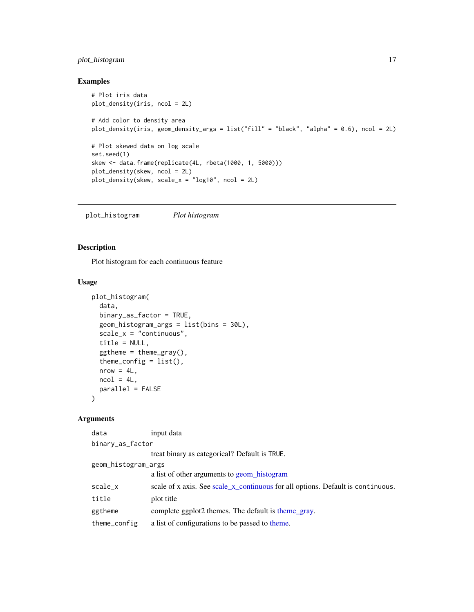# <span id="page-16-0"></span>plot\_histogram 17

# Examples

```
# Plot iris data
plot_density(iris, ncol = 2L)
# Add color to density area
plot_density(iris, geom_density_args = list("fill" = "black", "alpha" = 0.6), ncol = 2L)
# Plot skewed data on log scale
set.seed(1)
skew <- data.frame(replicate(4L, rbeta(1000, 1, 5000)))
plot_density(skew, ncol = 2L)
plot_density(skew, scale_x = "log10", ncol = 2L)
```
<span id="page-16-1"></span>plot\_histogram *Plot histogram*

# Description

Plot histogram for each continuous feature

### Usage

```
plot_histogram(
  data,
 binary_as_factor = TRUE,
  geom_histogram_args = list(bins = 30L),
  scale_x = "continuous",
  title = NULL,
  ggtheme = theme_gray(),
  theme_config = list(),
  nrow = 4L,
 ncol = 4L,
 parallel = FALSE
\lambda
```

| input data                                                                      |
|---------------------------------------------------------------------------------|
| binary_as_factor                                                                |
| treat binary as categorical? Default is TRUE.                                   |
| geom_histogram_args                                                             |
| a list of other arguments to geom_histogram                                     |
| scale of x axis. See scale_x_continuous for all options. Default is continuous. |
| plot title                                                                      |
| complete ggplot2 themes. The default is theme gray.                             |
| a list of configurations to be passed to theme.                                 |
|                                                                                 |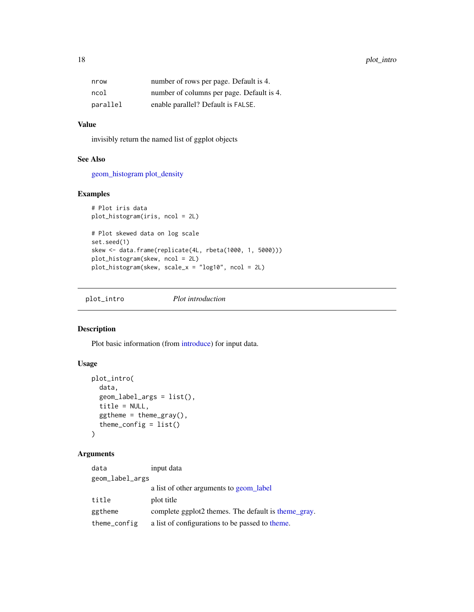<span id="page-17-0"></span>

| nrow     | number of rows per page. Default is 4.    |
|----------|-------------------------------------------|
| ncol     | number of columns per page. Default is 4. |
| parallel | enable parallel? Default is FALSE.        |

## Value

invisibly return the named list of ggplot objects

#### See Also

[geom\\_histogram](#page-0-0) [plot\\_density](#page-15-1)

# Examples

```
# Plot iris data
plot_histogram(iris, ncol = 2L)
```

```
# Plot skewed data on log scale
set.seed(1)
skew <- data.frame(replicate(4L, rbeta(1000, 1, 5000)))
plot_histogram(skew, ncol = 2L)
plot_histogram(skew, scale_x = "log10", ncol = 2L)
```
<span id="page-17-1"></span>plot\_intro *Plot introduction*

# Description

Plot basic information (from [introduce\)](#page-10-1) for input data.

# Usage

```
plot_intro(
  data,
  geom_label_args = list(),
  title = NULL,
  ggtheme = theme_gray(),
  theme_config = list()
)
```

| data            | input data                                          |
|-----------------|-----------------------------------------------------|
| geom_label_args |                                                     |
|                 | a list of other arguments to geom_label             |
| title           | plot title                                          |
| ggtheme         | complete ggplot2 themes. The default is theme_gray. |
| theme_config    | a list of configurations to be passed to theme.     |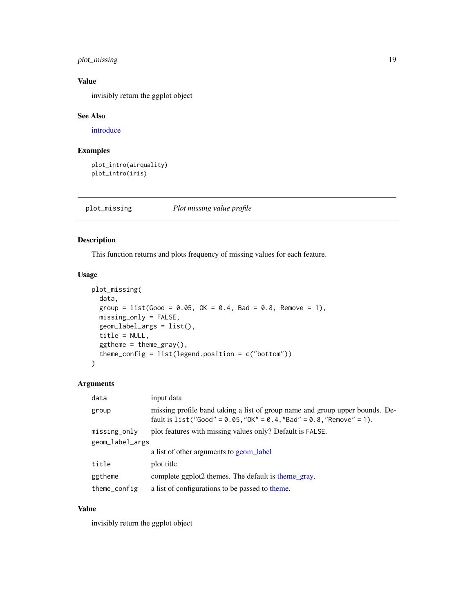# <span id="page-18-0"></span>plot\_missing 19

# Value

invisibly return the ggplot object

### See Also

[introduce](#page-10-1)

# Examples

```
plot_intro(airquality)
plot_intro(iris)
```
<span id="page-18-1"></span>plot\_missing *Plot missing value profile*

#### Description

This function returns and plots frequency of missing values for each feature.

#### Usage

```
plot_missing(
 data,
 group = list(Good = 0.05, OK = 0.4, Bad = 0.8, Remove = 1),missing_only = FALSE,
 geom_label_args = list(),
 title = NULL,
 ggtheme = theme_gray(),
  theme_config = list(legend.position = c("bottom"))
)
```
# Arguments

| input data                                                                                                                                             |
|--------------------------------------------------------------------------------------------------------------------------------------------------------|
| missing profile band taking a list of group name and group upper bounds. De-<br>fault is $list("Good" = 0.05, "OK" = 0.4, "Bad" = 0.8, "Remove" = 1).$ |
| plot features with missing values only? Default is FALSE.                                                                                              |
| geom_label_args                                                                                                                                        |
| a list of other arguments to geom label                                                                                                                |
| plot title                                                                                                                                             |
| complete ggplot2 themes. The default is theme gray.                                                                                                    |
| a list of configurations to be passed to theme.                                                                                                        |
|                                                                                                                                                        |

# Value

invisibly return the ggplot object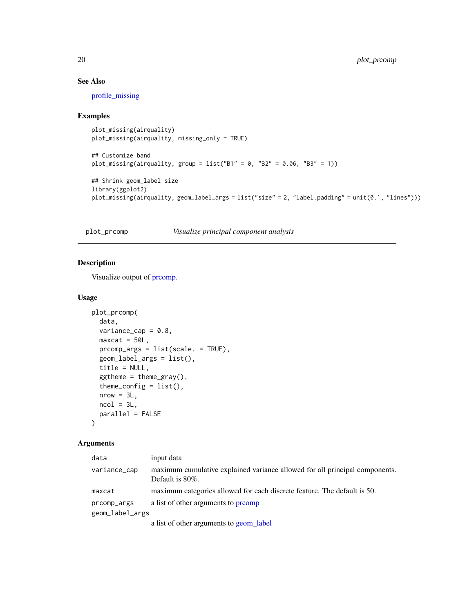# See Also

[profile\\_missing](#page-24-1)

# Examples

```
plot_missing(airquality)
plot_missing(airquality, missing_only = TRUE)
## Customize band
plot_missing(airquality, group = list("B1" = 0, "B2" = 0.06, "B3" = 1))
## Shrink geom_label size
library(ggplot2)
plot_missing(airquality, geom_label_args = list("size" = 2, "label.padding" = unit(0.1, "lines")))
```
<span id="page-19-1"></span>plot\_prcomp *Visualize principal component analysis*

# Description

Visualize output of [prcomp.](#page-0-0)

# Usage

```
plot_prcomp(
  data,
 variance_cap = 0.8,
 maxcat = 50L,prcomp_args = list(scale. = TRUE),
  geom_label_args = list(),
  title = NULL,
  ggtheme = theme_gray(),
  theme_config = list(),
  nrow = 3L,
 ncol = 3L,
 parallel = FALSE
)
```

| data            | input data                                                                                         |
|-----------------|----------------------------------------------------------------------------------------------------|
| variance_cap    | maximum cumulative explained variance allowed for all principal components.<br>Default is $80\%$ . |
| maxcat          | maximum categories allowed for each discrete feature. The default is 50.                           |
| prcomp_args     | a list of other arguments to promp                                                                 |
| geom_label_args |                                                                                                    |
|                 | a list of other arguments to geom_label                                                            |

<span id="page-19-0"></span>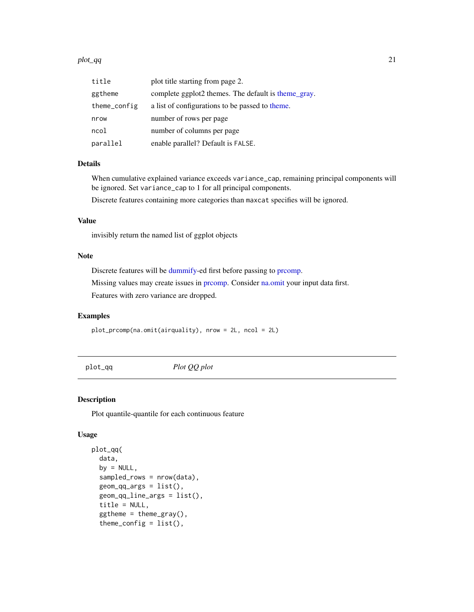#### <span id="page-20-0"></span>plot\_qq 21

| title        | plot title starting from page 2.                    |
|--------------|-----------------------------------------------------|
| ggtheme      | complete ggplot2 themes. The default is theme_gray. |
| theme_config | a list of configurations to be passed to theme.     |
| nrow         | number of rows per page                             |
| ncol         | number of columns per page                          |
| parallel     | enable parallel? Default is FALSE.                  |

## Details

When cumulative explained variance exceeds variance\_cap, remaining principal components will be ignored. Set variance\_cap to 1 for all principal components.

Discrete features containing more categories than maxcat specifies will be ignored.

# Value

invisibly return the named list of ggplot objects

# Note

Discrete features will be [dummify-](#page-7-1)ed first before passing to [prcomp.](#page-0-0)

Missing values may create issues in [prcomp.](#page-0-0) Consider [na.omit](#page-0-0) your input data first.

Features with zero variance are dropped.

#### Examples

plot\_prcomp(na.omit(airquality), nrow = 2L, ncol = 2L)

<span id="page-20-1"></span>plot\_qq *Plot QQ plot*

#### Description

Plot quantile-quantile for each continuous feature

### Usage

```
plot_qq(
  data,
  by = NULL,
  sampled_rows = nrow(data),
  geom_qq_args = list(),
  geom_qq_line_args = list(),
  title = NULL,
  ggtheme = theme_gray(),
  theme_config = list(),
```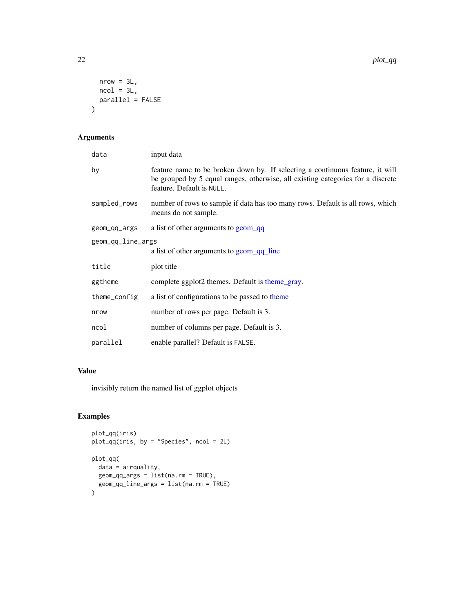```
nrow = 3L,
  ncol = 3L,
  parallel = FALSE
\mathcal{L}
```
# Arguments

| data              | input data                                                                                                                                                                                    |
|-------------------|-----------------------------------------------------------------------------------------------------------------------------------------------------------------------------------------------|
| by                | feature name to be broken down by. If selecting a continuous feature, it will<br>be grouped by 5 equal ranges, otherwise, all existing categories for a discrete<br>feature. Default is NULL. |
| sampled_rows      | number of rows to sample if data has too many rows. Default is all rows, which<br>means do not sample.                                                                                        |
| geom_qq_args      | a list of other arguments to geom_qq                                                                                                                                                          |
| geom_qq_line_args |                                                                                                                                                                                               |
|                   | a list of other arguments to geom qq line                                                                                                                                                     |
| title             | plot title                                                                                                                                                                                    |
| ggtheme           | complete ggplot2 themes. Default is theme_gray.                                                                                                                                               |
| theme_config      | a list of configurations to be passed to theme                                                                                                                                                |
| nrow              | number of rows per page. Default is 3.                                                                                                                                                        |
| ncol              | number of columns per page. Default is 3.                                                                                                                                                     |
| parallel          | enable parallel? Default is FALSE.                                                                                                                                                            |

# Value

invisibly return the named list of ggplot objects

# Examples

```
plot_qq(iris)
plot_qq(iris, by = "Species", ncol = 2L)
plot_qq(
  data = airquality,
 geom_qq_args = list(na.rm = TRUE),
  geom_qq_line_args = list(na.rm = TRUE)
\overline{\phantom{a}}
```
<span id="page-21-0"></span>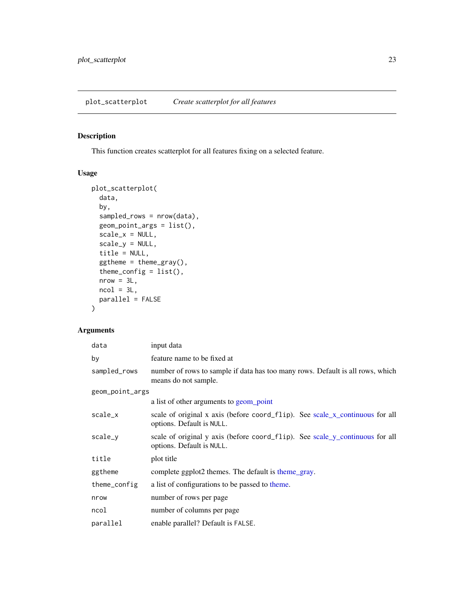# <span id="page-22-1"></span><span id="page-22-0"></span>Description

This function creates scatterplot for all features fixing on a selected feature.

#### Usage

```
plot_scatterplot(
 data,
 by,
  sampled_rows = nrow(data),
  geom_point_args = list(),
  scale_x = NULL,scale_y = NULL,
  title = NULL,
  ggtheme = theme_gray(),
  theme_config = list(),
  nrow = 3L,ncol = 3L,
 parallel = FALSE
\mathcal{L}
```

| data            | input data                                                                                                |
|-----------------|-----------------------------------------------------------------------------------------------------------|
| by              | feature name to be fixed at                                                                               |
| sampled_rows    | number of rows to sample if data has too many rows. Default is all rows, which<br>means do not sample.    |
| geom_point_args |                                                                                                           |
|                 | a list of other arguments to geom_point                                                                   |
| scale_x         | scale of original x axis (before coord_flip). See scale_x_continuous for all<br>options. Default is NULL. |
| scale_y         | scale of original y axis (before coord_flip). See scale_y_continuous for all<br>options. Default is NULL. |
| title           | plot title                                                                                                |
| ggtheme         | complete ggplot2 themes. The default is theme_gray.                                                       |
| theme_config    | a list of configurations to be passed to theme.                                                           |
| nrow            | number of rows per page                                                                                   |
| ncol            | number of columns per page                                                                                |
| parallel        | enable parallel? Default is FALSE.                                                                        |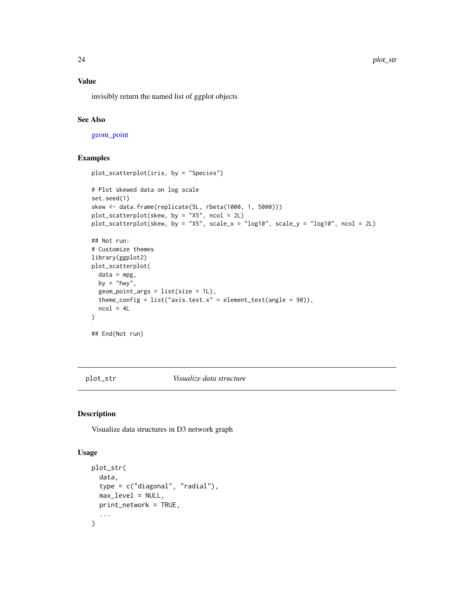#### Value

invisibly return the named list of ggplot objects

# See Also

[geom\\_point](#page-0-0)

# Examples

```
plot_scatterplot(iris, by = "Species")
# Plot skewed data on log scale
set.seed(1)
skew <- data.frame(replicate(5L, rbeta(1000, 1, 5000)))
plot_scatterplot(skew, by = "X5", ncol = 2L)
plot_scatterplot(skew, by = "X5", scale_x = "log10", scale_y = "log10", ncol = 2L)
## Not run:
# Customize themes
library(ggplot2)
plot_scatterplot(
 data = mpg,
 by = "hwy",
  geom\_point\_args = list(size = 1L),
  theme_config = list("axis.text.x" = element_text(angle = 90)),
  ncol = 4L)
## End(Not run)
```
<span id="page-23-1"></span>plot\_str *Visualize data structure*

#### Description

Visualize data structures in D3 network graph

#### Usage

```
plot_str(
  data,
  type = c("diagonal", "radial"),
 max_level = NULL,
 print_network = TRUE,
  ...
)
```
<span id="page-23-0"></span>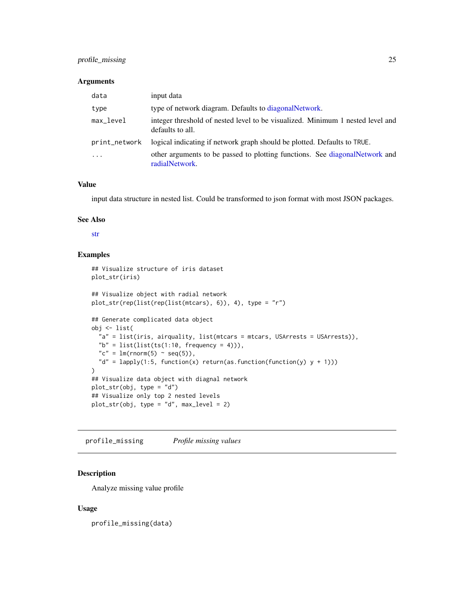# <span id="page-24-0"></span>profile\_missing 25

#### Arguments

| data          | input data                                                                                         |
|---------------|----------------------------------------------------------------------------------------------------|
| type          | type of network diagram. Defaults to diagonal Network.                                             |
| $max$ $level$ | integer threshold of nested level to be visualized. Minimum 1 nested level and<br>defaults to all. |
| print_network | logical indicating if network graph should be plotted. Defaults to TRUE.                           |
| .             | other arguments to be passed to plotting functions. See diagonal Network and<br>radialNetwork.     |

#### Value

input data structure in nested list. Could be transformed to json format with most JSON packages.

#### See Also

[str](#page-0-0)

# Examples

```
## Visualize structure of iris dataset
plot_str(iris)
## Visualize object with radial network
plot_str(rep(list(rep(list(mtcars), 6)), 4), type = "r")
## Generate complicated data object
obj <- list(
  "a" = list(iris, airquality, list(mtcars = mtcars, USArrests = USArrests)),
  "b" = list(list(ts(1:10, frequency = 4))),"c" = lm(rnorm(5) \sim seq(5)),
  "d" = lapply(1:5, function(x) return(as.function(function(y) y + 1)))
)
## Visualize data object with diagnal network
plot_str(obj, type = "d")
## Visualize only top 2 nested levels
plot_str(obj, type = "d", max_level = 2)
```
<span id="page-24-1"></span>profile\_missing *Profile missing values*

#### Description

Analyze missing value profile

#### Usage

profile\_missing(data)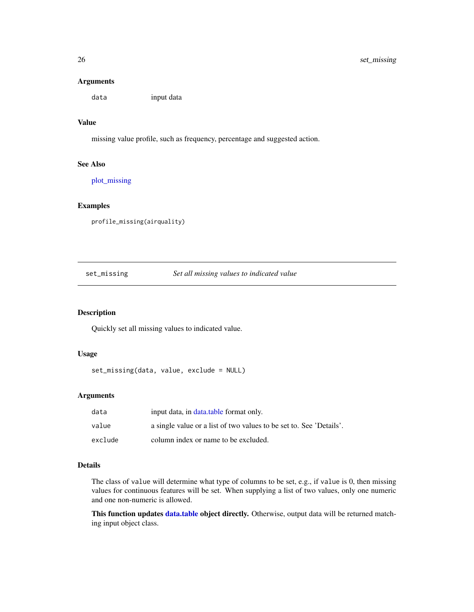#### Arguments

data input data

#### Value

missing value profile, such as frequency, percentage and suggested action.

#### See Also

[plot\\_missing](#page-18-1)

#### Examples

profile\_missing(airquality)

#### set\_missing *Set all missing values to indicated value*

# Description

Quickly set all missing values to indicated value.

# Usage

set\_missing(data, value, exclude = NULL)

### Arguments

| data    | input data, in data, table format only.                             |
|---------|---------------------------------------------------------------------|
| value   | a single value or a list of two values to be set to. See 'Details'. |
| exclude | column index or name to be excluded.                                |

## Details

The class of value will determine what type of columns to be set, e.g., if value is 0, then missing values for continuous features will be set. When supplying a list of two values, only one numeric and one non-numeric is allowed.

This function updates [data.table](#page-0-0) object directly. Otherwise, output data will be returned matching input object class.

<span id="page-25-0"></span>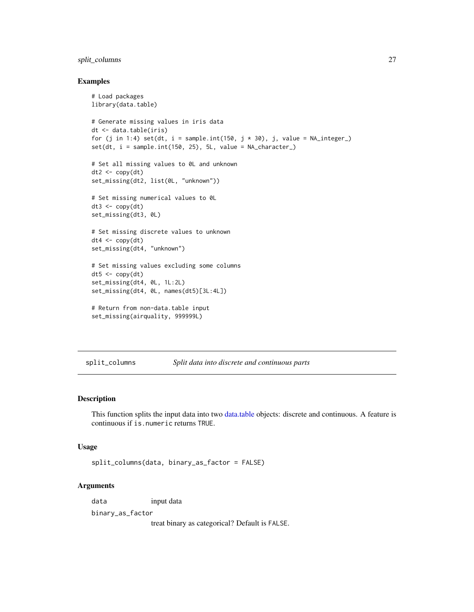# <span id="page-26-0"></span>split\_columns 27

#### Examples

```
# Load packages
library(data.table)
# Generate missing values in iris data
dt <- data.table(iris)
for (j in 1:4) set(dt, i = sample.int(150, j * 30), j, value = NA_interest_)set(dt, i = sample.int(150, 25), 5L, value = NA_character_)# Set all missing values to 0L and unknown
dt2 < -\text{copy}(dt)set_missing(dt2, list(0L, "unknown"))
# Set missing numerical values to 0L
dt3 \leq -\text{copy}(dt)set_missing(dt3, 0L)
# Set missing discrete values to unknown
dt4 < -\text{copy}(dt)set_missing(dt4, "unknown")
# Set missing values excluding some columns
dt5 < -copy(dt)set_missing(dt4, 0L, 1L:2L)
set_missing(dt4, 0L, names(dt5)[3L:4L])
# Return from non-data.table input
set_missing(airquality, 999999L)
```
split\_columns *Split data into discrete and continuous parts*

#### Description

This function splits the input data into two [data.table](#page-0-0) objects: discrete and continuous. A feature is continuous if is.numeric returns TRUE.

#### Usage

```
split_columns(data, binary_as_factor = FALSE)
```
#### Arguments

data input data

binary\_as\_factor

treat binary as categorical? Default is FALSE.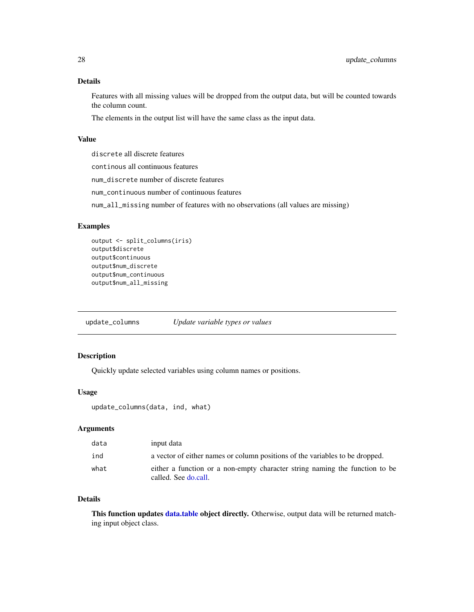#### <span id="page-27-0"></span>Details

Features with all missing values will be dropped from the output data, but will be counted towards the column count.

The elements in the output list will have the same class as the input data.

#### Value

discrete all discrete features

continous all continuous features

num\_discrete number of discrete features

num\_continuous number of continuous features

num\_all\_missing number of features with no observations (all values are missing)

#### Examples

```
output <- split_columns(iris)
output$discrete
output$continuous
output$num_discrete
output$num_continuous
output$num_all_missing
```
update\_columns *Update variable types or values*

#### Description

Quickly update selected variables using column names or positions.

#### Usage

```
update_columns(data, ind, what)
```
#### Arguments

| data | input data                                                                                          |
|------|-----------------------------------------------------------------------------------------------------|
| ind  | a vector of either names or column positions of the variables to be dropped.                        |
| what | either a function or a non-empty character string naming the function to be<br>called. See do.call. |

#### Details

This function updates [data.table](#page-0-0) object directly. Otherwise, output data will be returned matching input object class.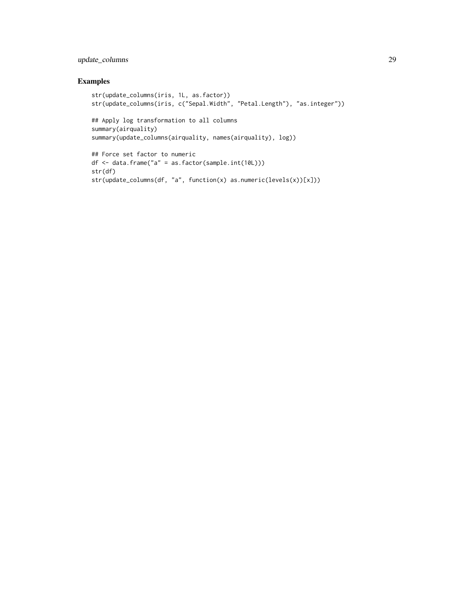# update\_columns 29

# Examples

```
str(update_columns(iris, 1L, as.factor))
str(update_columns(iris, c("Sepal.Width", "Petal.Length"), "as.integer"))
## Apply log transformation to all columns
summary(airquality)
summary(update_columns(airquality, names(airquality), log))
## Force set factor to numeric
```

```
df <- data.frame("a" = as.factor(sample.int(10L)))
str(df)
str(update_columns(df, "a", function(x) as.numeric(levels(x))[x]))
```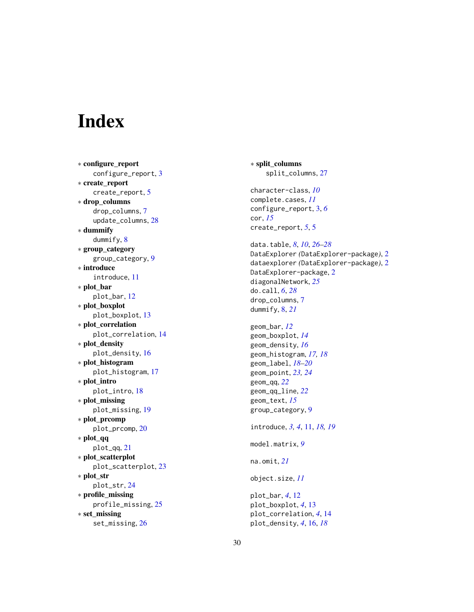# <span id="page-29-0"></span>Index

∗ configure\_report configure\_report , [3](#page-2-0) ∗ create\_report create\_report , [5](#page-4-0) ∗ drop\_columns drop\_columns , [7](#page-6-0) update\_columns , [28](#page-27-0) ∗ dummify dummify, [8](#page-7-0) ∗ group\_category group\_category , [9](#page-8-0) ∗ introduce introduce , [11](#page-10-0) ∗ plot\_bar plot\_bar , [12](#page-11-0) ∗ plot\_boxplot plot\_boxplot , [13](#page-12-0) ∗ plot\_correlation plot\_correlation , [14](#page-13-0) ∗ plot\_density plot\_density , [16](#page-15-0) ∗ plot\_histogram plot\_histogram , [17](#page-16-0) ∗ plot\_intro plot\_intro , [18](#page-17-0) ∗ plot\_missing plot\_missing , [19](#page-18-0) ∗ plot\_prcomp plot\_prcomp , [20](#page-19-0) ∗ plot\_qq plot\_qq , [21](#page-20-0) ∗ plot\_scatterplot plot\_scatterplot , [23](#page-22-0) ∗ plot\_str plot\_str , [24](#page-23-0) ∗ profile\_missing profile\_missing , [25](#page-24-0) ∗ set\_missing set\_missing , [26](#page-25-0)

∗ split\_columns split\_columns , [27](#page-26-0) character-class , *[10](#page-9-0)* complete.cases , *[11](#page-10-0)* configure\_report , [3](#page-2-0) , *[6](#page-5-0)* cor , *[15](#page-14-0)* create\_report , *[5](#page-4-0)* , [5](#page-4-0) data.table , *[8](#page-7-0)* , *[10](#page-9-0)* , *[26](#page-25-0)[–28](#page-27-0)* DataExplorer *(*DataExplorer-package *)* , [2](#page-1-0) dataexplorer *(*DataExplorer-package *)* , [2](#page-1-0) DataExplorer-package , [2](#page-1-0) diagonalNetwork , *[25](#page-24-0)* do.call , *[6](#page-5-0)* , *[28](#page-27-0)* drop\_columns , [7](#page-6-0) dummify , [8](#page-7-0) , *[21](#page-20-0)* geom\_bar , *[12](#page-11-0)* geom\_boxplot , *[14](#page-13-0)* geom\_density , *[16](#page-15-0)* geom\_histogram , *[17,](#page-16-0) [18](#page-17-0)* geom\_label , *[18](#page-17-0) [–20](#page-19-0)* geom\_point , *[23](#page-22-0) , [24](#page-23-0)* geom\_qq , *[22](#page-21-0)* geom\_qq\_line , *[22](#page-21-0)* geom\_text , *[15](#page-14-0)* group\_category , [9](#page-8-0) introduce, [3](#page-2-0), [4](#page-3-0), [11](#page-10-0), [18](#page-17-0), [19](#page-18-0) model.matrix , *[9](#page-8-0)* na.omit , *[21](#page-20-0)* object.size , *[11](#page-10-0)* plot\_bar , *[4](#page-3-0)* , [12](#page-11-0) plot\_boxplot , *[4](#page-3-0)* , [13](#page-12-0) plot\_correlation , *[4](#page-3-0)* , [14](#page-13-0) plot\_density , *[4](#page-3-0)* , [16](#page-15-0) , *[18](#page-17-0)*